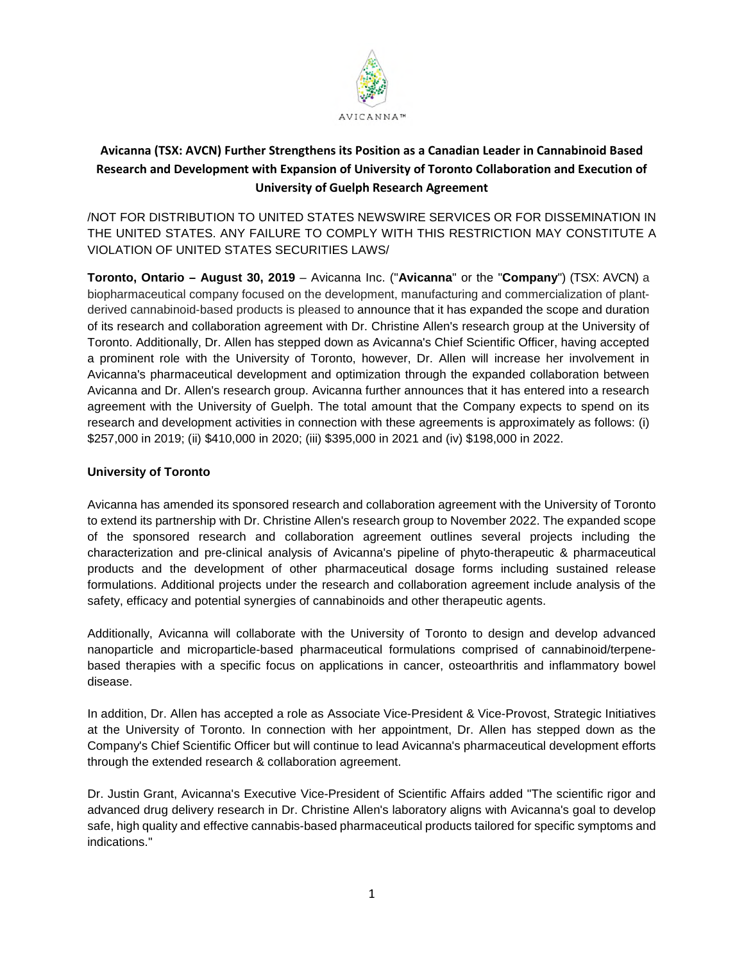

# **Avicanna (TSX: AVCN) Further Strengthens its Position as a Canadian Leader in Cannabinoid Based Research and Development with Expansion of University of Toronto Collaboration and Execution of University of Guelph Research Agreement**

/NOT FOR DISTRIBUTION TO UNITED STATES NEWSWIRE SERVICES OR FOR DISSEMINATION IN THE UNITED STATES. ANY FAILURE TO COMPLY WITH THIS RESTRICTION MAY CONSTITUTE A VIOLATION OF UNITED STATES SECURITIES LAWS/

**Toronto, Ontario – August 30, 2019** – Avicanna Inc. ("**Avicanna**" or the "**Company**") (TSX: AVCN) a biopharmaceutical company focused on the development, manufacturing and commercialization of plantderived cannabinoid-based products is pleased to announce that it has expanded the scope and duration of its research and collaboration agreement with Dr. Christine Allen's research group at the University of Toronto. Additionally, Dr. Allen has stepped down as Avicanna's Chief Scientific Officer, having accepted a prominent role with the University of Toronto, however, Dr. Allen will increase her involvement in Avicanna's pharmaceutical development and optimization through the expanded collaboration between Avicanna and Dr. Allen's research group. Avicanna further announces that it has entered into a research agreement with the University of Guelph. The total amount that the Company expects to spend on its research and development activities in connection with these agreements is approximately as follows: (i) \$257,000 in 2019; (ii) \$410,000 in 2020; (iii) \$395,000 in 2021 and (iv) \$198,000 in 2022.

### **University of Toronto**

Avicanna has amended its sponsored research and collaboration agreement with the University of Toronto to extend its partnership with Dr. Christine Allen's research group to November 2022. The expanded scope of the sponsored research and collaboration agreement outlines several projects including the characterization and pre-clinical analysis of Avicanna's pipeline of phyto-therapeutic & pharmaceutical products and the development of other pharmaceutical dosage forms including sustained release formulations. Additional projects under the research and collaboration agreement include analysis of the safety, efficacy and potential synergies of cannabinoids and other therapeutic agents.

Additionally, Avicanna will collaborate with the University of Toronto to design and develop advanced nanoparticle and microparticle-based pharmaceutical formulations comprised of cannabinoid/terpenebased therapies with a specific focus on applications in cancer, osteoarthritis and inflammatory bowel disease.

In addition, Dr. Allen has accepted a role as Associate Vice-President & Vice-Provost, Strategic Initiatives at the University of Toronto. In connection with her appointment, Dr. Allen has stepped down as the Company's Chief Scientific Officer but will continue to lead Avicanna's pharmaceutical development efforts through the extended research & collaboration agreement.

Dr. Justin Grant, Avicanna's Executive Vice-President of Scientific Affairs added "The scientific rigor and advanced drug delivery research in Dr. Christine Allen's laboratory aligns with Avicanna's goal to develop safe, high quality and effective cannabis-based pharmaceutical products tailored for specific symptoms and indications."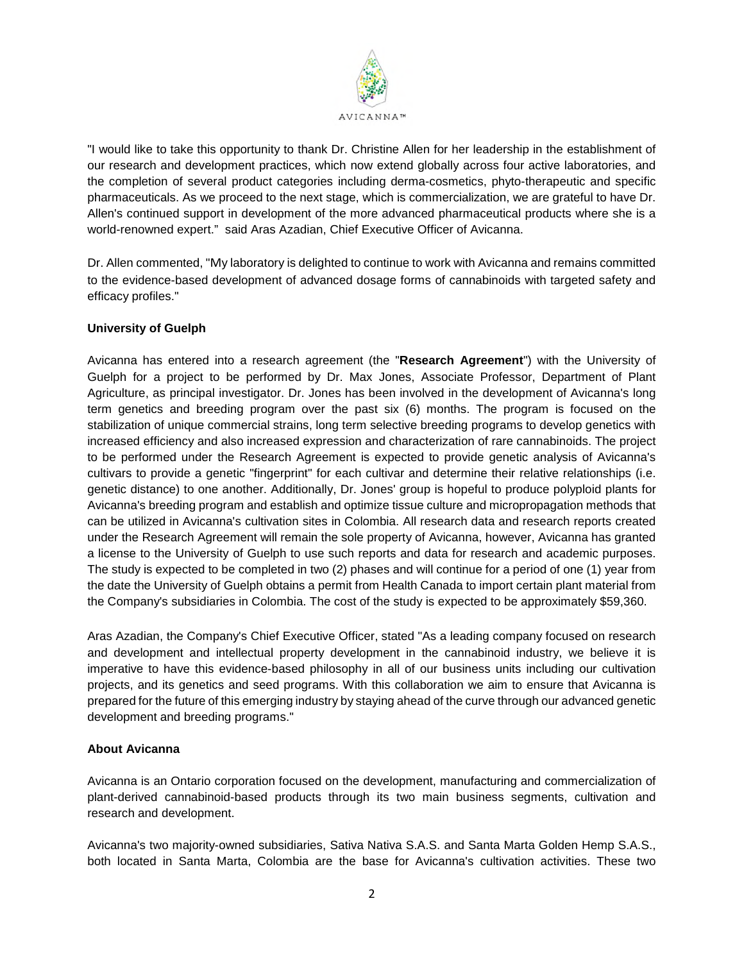

"I would like to take this opportunity to thank Dr. Christine Allen for her leadership in the establishment of our research and development practices, which now extend globally across four active laboratories, and the completion of several product categories including derma-cosmetics, phyto-therapeutic and specific pharmaceuticals. As we proceed to the next stage, which is commercialization, we are grateful to have Dr. Allen's continued support in development of the more advanced pharmaceutical products where she is a world-renowned expert." said Aras Azadian, Chief Executive Officer of Avicanna.

Dr. Allen commented, "My laboratory is delighted to continue to work with Avicanna and remains committed to the evidence-based development of advanced dosage forms of cannabinoids with targeted safety and efficacy profiles."

## **University of Guelph**

Avicanna has entered into a research agreement (the "**Research Agreement**") with the University of Guelph for a project to be performed by Dr. Max Jones, Associate Professor, Department of Plant Agriculture, as principal investigator. Dr. Jones has been involved in the development of Avicanna's long term genetics and breeding program over the past six (6) months. The program is focused on the stabilization of unique commercial strains, long term selective breeding programs to develop genetics with increased efficiency and also increased expression and characterization of rare cannabinoids. The project to be performed under the Research Agreement is expected to provide genetic analysis of Avicanna's cultivars to provide a genetic "fingerprint" for each cultivar and determine their relative relationships (i.e. genetic distance) to one another. Additionally, Dr. Jones' group is hopeful to produce polyploid plants for Avicanna's breeding program and establish and optimize tissue culture and micropropagation methods that can be utilized in Avicanna's cultivation sites in Colombia. All research data and research reports created under the Research Agreement will remain the sole property of Avicanna, however, Avicanna has granted a license to the University of Guelph to use such reports and data for research and academic purposes. The study is expected to be completed in two (2) phases and will continue for a period of one (1) year from the date the University of Guelph obtains a permit from Health Canada to import certain plant material from the Company's subsidiaries in Colombia. The cost of the study is expected to be approximately \$59,360.

Aras Azadian, the Company's Chief Executive Officer, stated "As a leading company focused on research and development and intellectual property development in the cannabinoid industry, we believe it is imperative to have this evidence-based philosophy in all of our business units including our cultivation projects, and its genetics and seed programs. With this collaboration we aim to ensure that Avicanna is prepared for the future of this emerging industry by staying ahead of the curve through our advanced genetic development and breeding programs."

## **About Avicanna**

Avicanna is an Ontario corporation focused on the development, manufacturing and commercialization of plant-derived cannabinoid-based products through its two main business segments, cultivation and research and development.

Avicanna's two majority-owned subsidiaries, Sativa Nativa S.A.S. and Santa Marta Golden Hemp S.A.S., both located in Santa Marta, Colombia are the base for Avicanna's cultivation activities. These two